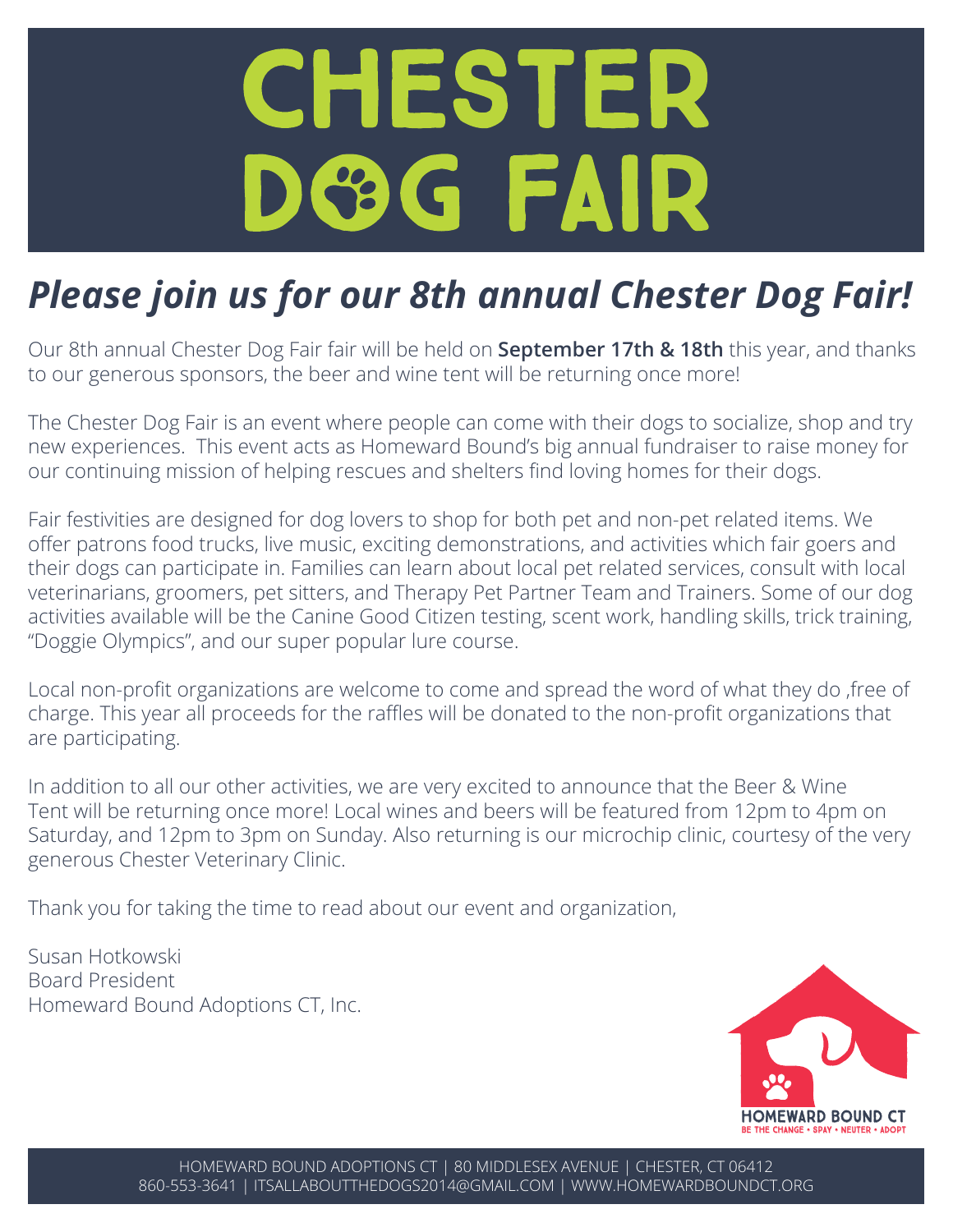# CHESTER **DOG FAIR**

### *Please join us for our 8th annual Chester Dog Fair!*

Our 8th annual Chester Dog Fair fair will be held on **September 17th & 18th** this year, and thanks to our generous sponsors, the beer and wine tent will be returning once more!

The Chester Dog Fair is an event where people can come with their dogs to socialize, shop and try new experiences. This event acts as Homeward Bound's big annual fundraiser to raise money for our continuing mission of helping rescues and shelters find loving homes for their dogs.

Fair festivities are designed for dog lovers to shop for both pet and non-pet related items. We offer patrons food trucks, live music, exciting demonstrations, and activities which fair goers and their dogs can participate in. Families can learn about local pet related services, consult with local veterinarians, groomers, pet sitters, and Therapy Pet Partner Team and Trainers. Some of our dog activities available will be the Canine Good Citizen testing, scent work, handling skills, trick training, "Doggie Olympics", and our super popular lure course.

Local non-profit organizations are welcome to come and spread the word of what they do ,free of charge. This year all proceeds for the raffles will be donated to the non-profit organizations that are participating.

In addition to all our other activities, we are very excited to announce that the Beer & Wine Tent will be returning once more! Local wines and beers will be featured from 12pm to 4pm on Saturday, and 12pm to 3pm on Sunday. Also returning is our microchip clinic, courtesy of the very generous Chester Veterinary Clinic.

Thank you for taking the time to read about our event and organization,

Susan Hotkowski Board President Homeward Bound Adoptions CT, Inc.

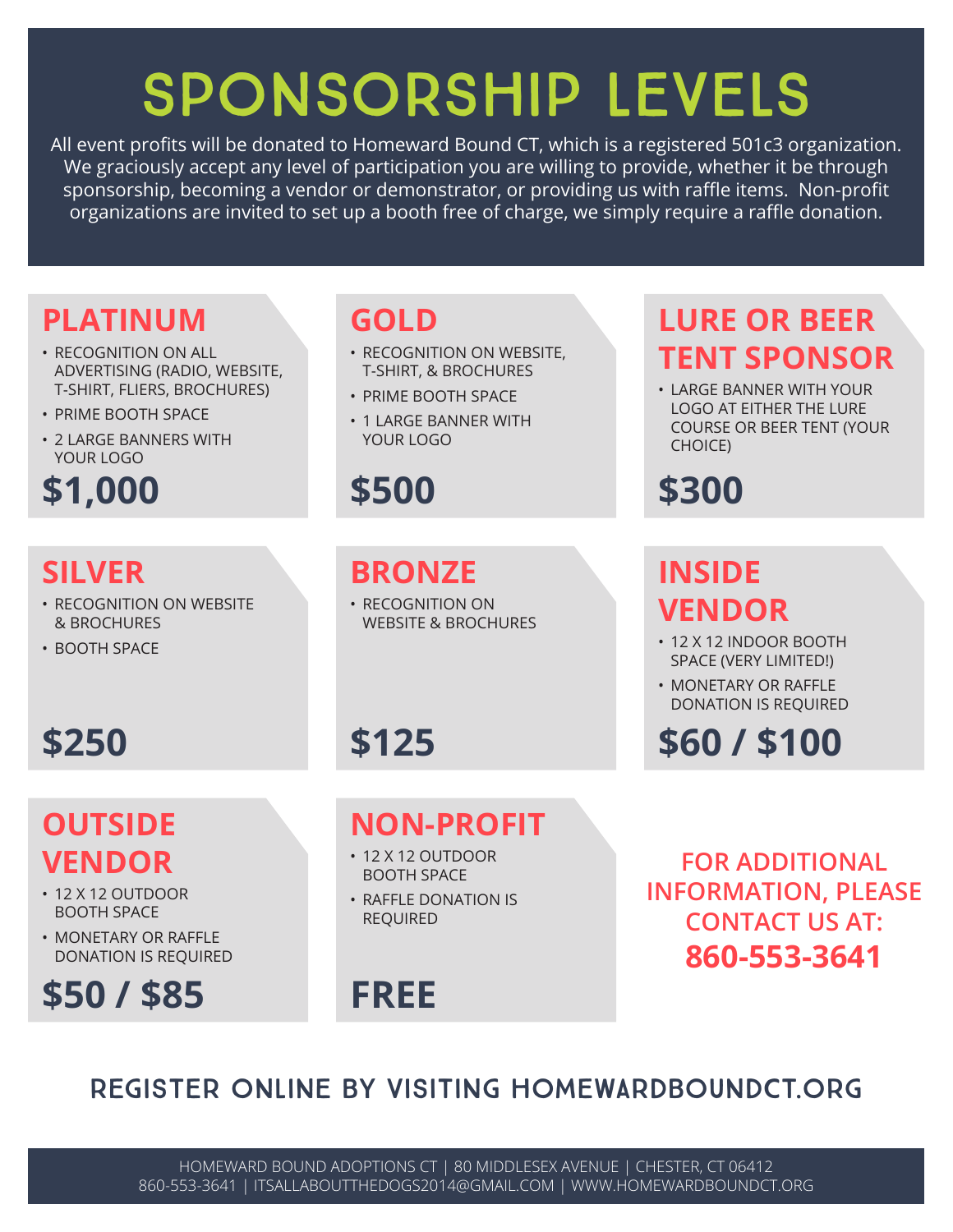## SPONSORSHIP LEVELS

All event profits will be donated to Homeward Bound CT, which is a registered 501c3 organization. We graciously accept any level of participation you are willing to provide, whether it be through sponsorship, becoming a vendor or demonstrator, or providing us with raffle items. Non-profit organizations are invited to set up a booth free of charge, we simply require a raffle donation.

#### **PLATINUM**

- RECOGNITION ON ALL ADVERTISING (RADIO, WEBSITE, T-SHIRT, FLIERS, BROCHURES)
- PRIME BOOTH SPACE
- 2 LARGE BANNERS WITH YOUR LOGO

#### **\$1,000**

#### **SILVER**

- RECOGNITION ON WEBSITE & BROCHURES
- BOOTH SPACE

#### **GOLD**

- RECOGNITION ON WEBSITE, T-SHIRT, & BROCHURES
- PRIME BOOTH SPACE
- 1 LARGE BANNER WITH YOUR LOGO

#### **\$500 \$300**

#### **BRONZE**

• RECOGNITION ON WEBSITE & BROCHURES

**NON-PROFIT**

• 12 X 12 OUTDOOR BOOTH SPACE • RAFFLE DONATION IS

#### **LURE OR BEER TENT SPONSOR**

• LARGE BANNER WITH YOUR LOGO AT EITHER THE LURE COURSE OR BEER TENT (YOUR CHOICE)

#### **INSIDE VENDOR**

- 12 X 12 INDOOR BOOTH SPACE (VERY LIMITED!)
- MONETARY OR RAFFLE DONATION IS REQUIRED

#### **\$250 \$60 / \$100**

**FOR ADDITIONAL INFORMATION, PLEASE CONTACT US AT: 860-553-3641**

#### **OUTSIDE VENDOR**

- 12 X 12 OUTDOOR BOOTH SPACE
- MONFTARY OR RAFFLE DONATION IS REQUIRED

#### **\$50 / \$85**

#### **FREE**

REQUIRED

**\$125**

#### REGISTER ONLINE BY VISITING HOMEWARDBOUNDCT.ORG

HOMEWARD BOUND ADOPTIONS CT | 80 MIDDLESEX AVENUE | CHESTER, CT 06412 860-553-3641 | ITSALLABOUTTHEDOGS2014@GMAIL.COM | WWW.HOMEWARDBOUNDCT.ORG